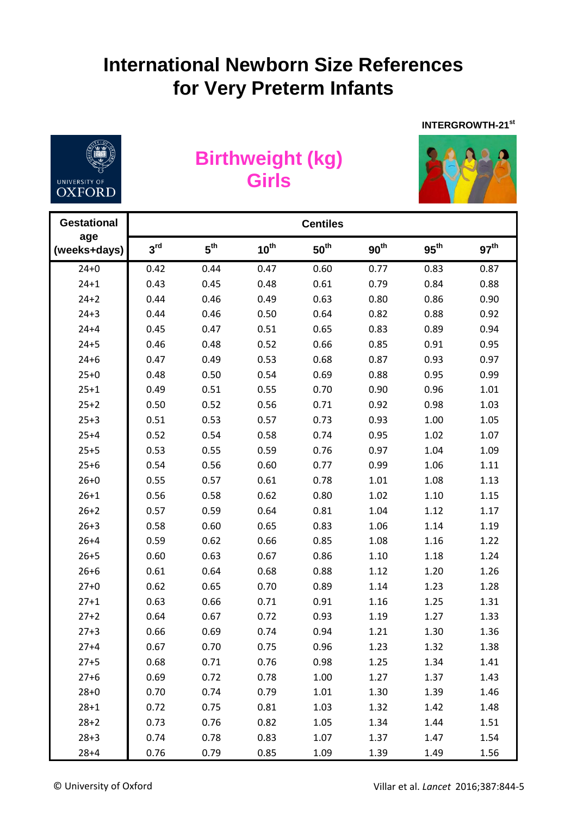## **International Newborn Size References for Very Preterm Infants**



## **Birthweight (kg) Girls**



**INTERGROWTH-21st** 

| <b>Gestational</b>  | <b>Centiles</b> |                 |                  |                  |                  |                  |                  |  |  |
|---------------------|-----------------|-----------------|------------------|------------------|------------------|------------------|------------------|--|--|
| age<br>(weeks+days) | 3 <sup>rd</sup> | $5^{\text{th}}$ | $10^{\text{th}}$ | $50^{\text{th}}$ | 90 <sup>th</sup> | $95^{\text{th}}$ | 97 <sup>th</sup> |  |  |
| $24 + 0$            | 0.42            | 0.44            | 0.47             | 0.60             | 0.77             | 0.83             | 0.87             |  |  |
| $24 + 1$            | 0.43            | 0.45            | 0.48             | 0.61             | 0.79             | 0.84             | 0.88             |  |  |
| $24 + 2$            | 0.44            | 0.46            | 0.49             | 0.63             | 0.80             | 0.86             | 0.90             |  |  |
| $24 + 3$            | 0.44            | 0.46            | 0.50             | 0.64             | 0.82             | 0.88             | 0.92             |  |  |
| $24 + 4$            | 0.45            | 0.47            | 0.51             | 0.65             | 0.83             | 0.89             | 0.94             |  |  |
| $24 + 5$            | 0.46            | 0.48            | 0.52             | 0.66             | 0.85             | 0.91             | 0.95             |  |  |
| $24 + 6$            | 0.47            | 0.49            | 0.53             | 0.68             | 0.87             | 0.93             | 0.97             |  |  |
| $25 + 0$            | 0.48            | 0.50            | 0.54             | 0.69             | 0.88             | 0.95             | 0.99             |  |  |
| $25 + 1$            | 0.49            | 0.51            | 0.55             | 0.70             | 0.90             | 0.96             | 1.01             |  |  |
| $25 + 2$            | 0.50            | 0.52            | 0.56             | 0.71             | 0.92             | 0.98             | 1.03             |  |  |
| $25 + 3$            | 0.51            | 0.53            | 0.57             | 0.73             | 0.93             | 1.00             | 1.05             |  |  |
| $25 + 4$            | 0.52            | 0.54            | 0.58             | 0.74             | 0.95             | 1.02             | 1.07             |  |  |
| $25 + 5$            | 0.53            | 0.55            | 0.59             | 0.76             | 0.97             | 1.04             | 1.09             |  |  |
| $25 + 6$            | 0.54            | 0.56            | 0.60             | 0.77             | 0.99             | 1.06             | 1.11             |  |  |
| $26 + 0$            | 0.55            | 0.57            | 0.61             | 0.78             | 1.01             | 1.08             | 1.13             |  |  |
| $26 + 1$            | 0.56            | 0.58            | 0.62             | 0.80             | 1.02             | 1.10             | 1.15             |  |  |
| $26 + 2$            | 0.57            | 0.59            | 0.64             | 0.81             | 1.04             | 1.12             | 1.17             |  |  |
| $26 + 3$            | 0.58            | 0.60            | 0.65             | 0.83             | 1.06             | 1.14             | 1.19             |  |  |
| $26 + 4$            | 0.59            | 0.62            | 0.66             | 0.85             | 1.08             | 1.16             | 1.22             |  |  |
| $26 + 5$            | 0.60            | 0.63            | 0.67             | 0.86             | 1.10             | 1.18             | 1.24             |  |  |
| $26 + 6$            | 0.61            | 0.64            | 0.68             | 0.88             | 1.12             | 1.20             | 1.26             |  |  |
| $27 + 0$            | 0.62            | 0.65            | 0.70             | 0.89             | 1.14             | 1.23             | 1.28             |  |  |
| $27 + 1$            | 0.63            | 0.66            | 0.71             | 0.91             | 1.16             | 1.25             | 1.31             |  |  |
| $27 + 2$            | 0.64            | 0.67            | 0.72             | 0.93             | 1.19             | 1.27             | 1.33             |  |  |
| $27 + 3$            | 0.66            | 0.69            | 0.74             | 0.94             | 1.21             | 1.30             | 1.36             |  |  |
| $27 + 4$            | 0.67            | 0.70            | 0.75             | 0.96             | 1.23             | 1.32             | 1.38             |  |  |
| $27 + 5$            | 0.68            | 0.71            | 0.76             | 0.98             | 1.25             | 1.34             | 1.41             |  |  |
| $27 + 6$            | 0.69            | 0.72            | 0.78             | 1.00             | 1.27             | 1.37             | 1.43             |  |  |
| $28 + 0$            | 0.70            | 0.74            | 0.79             | 1.01             | 1.30             | 1.39             | 1.46             |  |  |
| $28 + 1$            | 0.72            | 0.75            | 0.81             | 1.03             | 1.32             | 1.42             | 1.48             |  |  |
| $28 + 2$            | 0.73            | 0.76            | 0.82             | 1.05             | 1.34             | 1.44             | 1.51             |  |  |
| $28 + 3$            | 0.74            | 0.78            | 0.83             | 1.07             | 1.37             | 1.47             | 1.54             |  |  |
| $28 + 4$            | 0.76            | 0.79            | 0.85             | 1.09             | 1.39             | 1.49             | 1.56             |  |  |